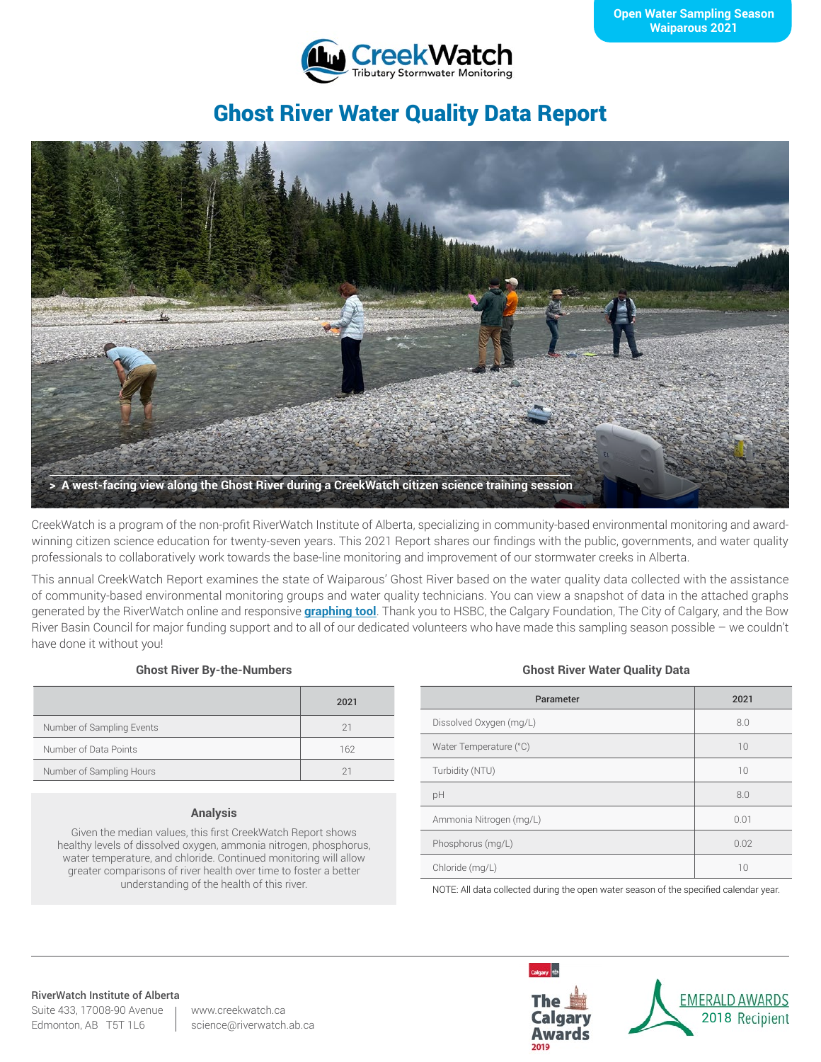

# Ghost River Water Quality Data Report



CreekWatch is a program of the non-profit RiverWatch Institute of Alberta, specializing in community-based environmental monitoring and awardwinning citizen science education for twenty-seven years. This 2021 Report shares our findings with the public, governments, and water quality professionals to collaboratively work towards the base-line monitoring and improvement of our stormwater creeks in Alberta.

This annual CreekWatch Report examines the state of Waiparous' Ghost River based on the water quality data collected with the assistance of community-based environmental monitoring groups and water quality technicians. You can view a snapshot of data in the attached graphs generated by the RiverWatch online and responsive **[graphing tool](http://www.riverwatch.ab.ca/index.php/science/data)**. Thank you to HSBC, the Calgary Foundation, The City of Calgary, and the Bow River Basin Council for major funding support and to all of our dedicated volunteers who have made this sampling season possible – we couldn't have done it without you!

### **Ghost River By-the-Numbers**

|                           | 2021        |
|---------------------------|-------------|
| Number of Sampling Events | 21          |
| Number of Data Points     | 162         |
| Number of Sampling Hours  | $2^{\circ}$ |

#### **Analysis**

Given the median values, this first CreekWatch Report shows healthy levels of dissolved oxygen, ammonia nitrogen, phosphorus, water temperature, and chloride. Continued monitoring will allow greater comparisons of river health over time to foster a better understanding of the health of this river.

#### **Ghost River Water Quality Data**

| Parameter               | 2021 |
|-------------------------|------|
| Dissolved Oxygen (mg/L) | 8.0  |
| Water Temperature (°C)  | 10   |
| Turbidity (NTU)         | 10   |
| pH                      | 8.0  |
| Ammonia Nitrogen (mg/L) | 0.01 |
| Phosphorus (mg/L)       | 0.02 |
| Chloride (mg/L)         | 10   |

NOTE: All data collected during the open water season of the specified calendar year.

#### RiverWatch Institute of Alberta

Suite 433, 17008-90 Avenue Edmonton, AB T5T 1L6

www.creekwatch.ca science@riverwatch.ab.ca